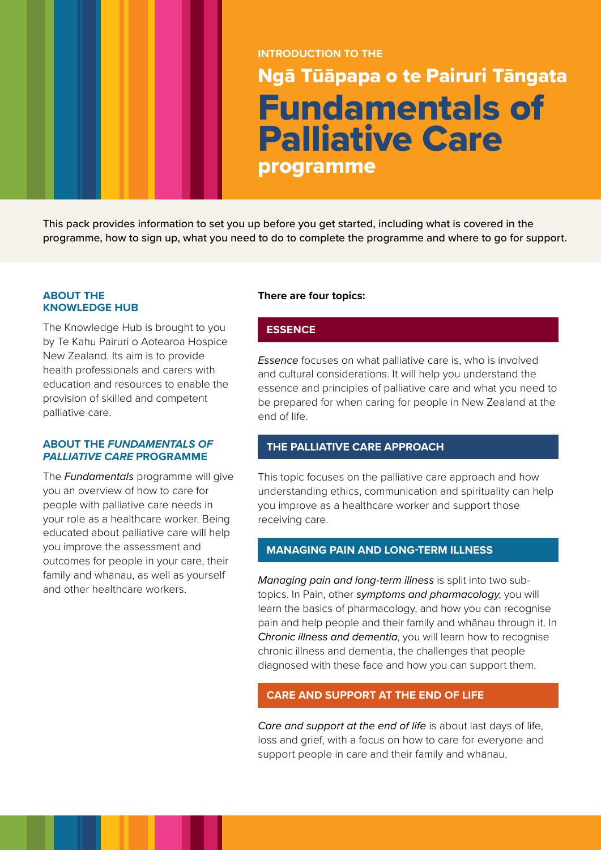# **INTRODUCTION TO THE** Ngā Tūāpapa o te Pairuri Tāngata Fundamentals of Palliative Care programme

This pack provides information to set you up before you get started, including what is covered in the programme, how to sign up, what you need to do to complete the programme and where to go for support.

## **ABOUT THE KNOWLEDGE HUB**

The Knowledge Hub is brought to you by Te Kahu Pairuri o Aotearoa Hospice New Zealand. Its aim is to provide health professionals and carers with education and resources to enable the provision of skilled and competent palliative care.

#### **ABOUT THE** *FUNDAMENTALS OF PALLIATIVE CARE* **PROGRAMME**

The *Fundamentals* programme will give you an overview of how to care for people with palliative care needs in your role as a healthcare worker. Being educated about palliative care will help you improve the assessment and outcomes for people in your care, their family and whānau, as well as yourself and other healthcare workers.

# **There are four topics:**

# **ESSENCE**

*Essence* focuses on what palliative care is, who is involved and cultural considerations. It will help you understand the essence and principles of palliative care and what you need to be prepared for when caring for people in New Zealand at the end of life.

# **THE PALLIATIVE CARE APPROACH**

This topic focuses on the palliative care approach and how understanding ethics, communication and spirituality can help you improve as a healthcare worker and support those receiving care.

# **MANAGING PAIN AND LONG-TERM ILLNESS**

*Managing pain and long-term illness* is split into two subtopics. In Pain, other *symptoms and pharmacology*, you will learn the basics of pharmacology, and how you can recognise pain and help people and their family and whānau through it. In *Chronic illness and dementia*, you will learn how to recognise chronic illness and dementia, the challenges that people diagnosed with these face and how you can support them.

# **CARE AND SUPPORT AT THE END OF LIFE**

*Care and support at the end of life* is about last days of life, loss and grief, with a focus on how to care for everyone and support people in care and their family and whānau.